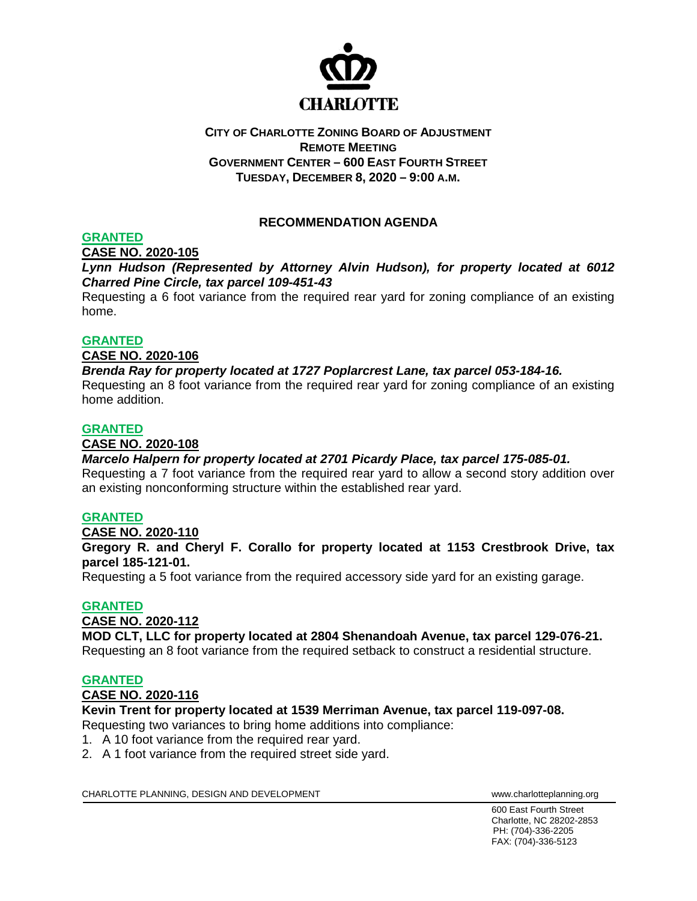

# **CITY OF CHARLOTTE ZONING BOARD OF ADJUSTMENT REMOTE MEETING GOVERNMENT CENTER – 600 EAST FOURTH STREET TUESDAY, DECEMBER 8, 2020 – 9:00 A.M.**

# **RECOMMENDATION AGENDA**

# **GRANTED**

**CASE NO. 2020-105**

*Lynn Hudson (Represented by Attorney Alvin Hudson), for property located at 6012 Charred Pine Circle, tax parcel 109-451-43*

Requesting a 6 foot variance from the required rear yard for zoning compliance of an existing home.

### **GRANTED**

### **CASE NO. 2020-106**

# *Brenda Ray for property located at 1727 Poplarcrest Lane, tax parcel 053-184-16.*

Requesting an 8 foot variance from the required rear yard for zoning compliance of an existing home addition.

### **GRANTED**

### **CASE NO. 2020-108**

### *Marcelo Halpern for property located at 2701 Picardy Place, tax parcel 175-085-01.*

Requesting a 7 foot variance from the required rear yard to allow a second story addition over an existing nonconforming structure within the established rear yard.

### **GRANTED**

### **CASE NO. 2020-110**

**Gregory R. and Cheryl F. Corallo for property located at 1153 Crestbrook Drive, tax parcel 185-121-01.**

Requesting a 5 foot variance from the required accessory side yard for an existing garage.

### **GRANTED**

### **CASE NO. 2020-112**

### **MOD CLT, LLC for property located at 2804 Shenandoah Avenue, tax parcel 129-076-21.**

Requesting an 8 foot variance from the required setback to construct a residential structure.

### **GRANTED**

### **CASE NO. 2020-116**

# **Kevin Trent for property located at 1539 Merriman Avenue, tax parcel 119-097-08.**

Requesting two variances to bring home additions into compliance:

- 1. A 10 foot variance from the required rear yard.
- 2. A 1 foot variance from the required street side yard.

CHARLOTTE PLANNING, DESIGN AND DEVELOPMENT WWW.Charlotteplanning.org

600 East Fourth Street Charlotte, NC 28202-2853 PH: (704)-336-2205 FAX: (704)-336-5123